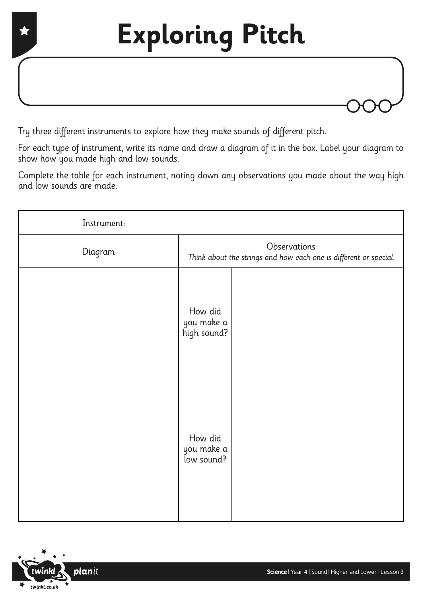

Try three different instruments to explore how they make sounds of different pitch.

For each type of instrument, write its name and draw a diagram of it in the box. Label your diagram to show how you made high and low sounds.

Complete the table for each instrument, noting down any observations you made about the way high and low sounds are made.

| Instrument: |                                                                                   |  |
|-------------|-----------------------------------------------------------------------------------|--|
| Diagram     | Observations<br>Think about the strings and how each one is different or special. |  |
|             | How did<br>you make a<br>high sound?                                              |  |
|             | How did<br>you make a<br>low sound?                                               |  |

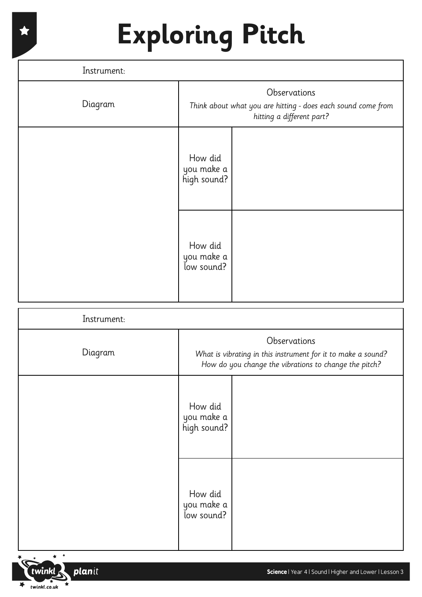## **Exploring Pitch**

| Instrument: |                                                                                                           |  |
|-------------|-----------------------------------------------------------------------------------------------------------|--|
| Diagram     | Observations<br>Think about what you are hitting - does each sound come from<br>hitting a different part? |  |
|             | How did<br>you make a<br>high sound?                                                                      |  |
|             | How did<br>you make a<br>low sound?                                                                       |  |

| Instrument: |                                                                                                                                       |  |
|-------------|---------------------------------------------------------------------------------------------------------------------------------------|--|
| Diagram     | Observations<br>What is vibrating in this instrument for it to make a sound?<br>How do you change the vibrations to change the pitch? |  |
|             | How did<br>you make a<br>high sound?                                                                                                  |  |
|             | How did<br>you make a<br>low sound?                                                                                                   |  |



 $\star$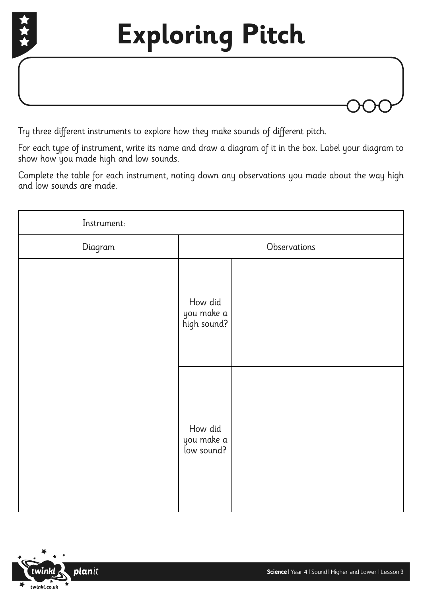

Try three different instruments to explore how they make sounds of different pitch.

For each type of instrument, write its name and draw a diagram of it in the box. Label your diagram to show how you made high and low sounds.

Complete the table for each instrument, noting down any observations you made about the way high and low sounds are made.

| Instrument: |                                      |  |
|-------------|--------------------------------------|--|
| Diagram     | Observations                         |  |
|             | How did<br>you make a<br>high sound? |  |
|             | How did<br>you make a<br>low sound?  |  |